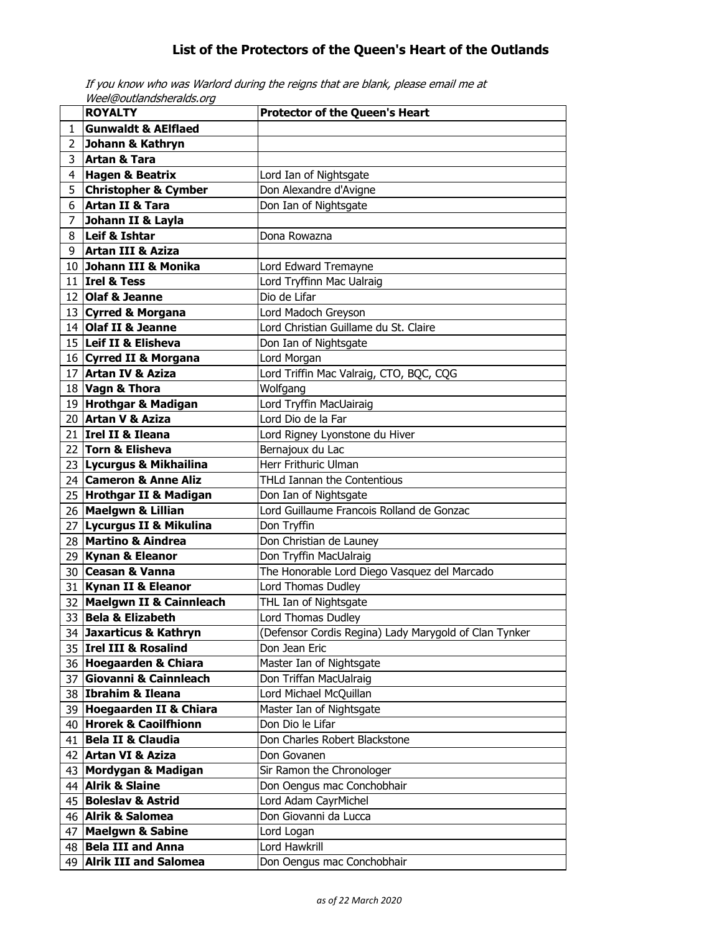## **List of the Protectors of the Queen's Heart of the Outlands**

|              | Weel@outlandsheralds.org                      |                                                       |  |
|--------------|-----------------------------------------------|-------------------------------------------------------|--|
|              | <b>ROYALTY</b>                                | <b>Protector of the Queen's Heart</b>                 |  |
| $\mathbf{1}$ | <b>Gunwaldt &amp; AEIflaed</b>                |                                                       |  |
| 2            | Johann & Kathryn                              |                                                       |  |
| 3            | Artan & Tara                                  |                                                       |  |
| 4            | Hagen & Beatrix                               | Lord Ian of Nightsgate                                |  |
| 5            | <b>Christopher &amp; Cymber</b>               | Don Alexandre d'Avigne                                |  |
| 6            | Artan II & Tara                               | Don Ian of Nightsgate                                 |  |
| 7            | Johann II & Layla                             |                                                       |  |
| 8            | Leif & Ishtar                                 | Dona Rowazna                                          |  |
| 9            | Artan III & Aziza                             |                                                       |  |
| 10           | Johann III & Monika                           | Lord Edward Tremayne                                  |  |
|              | 11 $ $ Irel & Tess                            | Lord Tryffinn Mac Ualraig                             |  |
|              | 12 Olaf & Jeanne                              | Dio de Lifar                                          |  |
|              | 13 Cyrred & Morgana                           | Lord Madoch Greyson                                   |  |
|              | 14 Olaf II & Jeanne                           | Lord Christian Guillame du St. Claire                 |  |
|              | 15 Leif II & Elisheva                         | Don Ian of Nightsgate                                 |  |
|              |                                               |                                                       |  |
|              | 16 Cyrred II & Morgana<br>17 Artan IV & Aziza | Lord Morgan                                           |  |
|              |                                               | Lord Triffin Mac Valraig, CTO, BQC, CQG               |  |
|              | 18 Vagn & Thora                               | Wolfgang                                              |  |
|              | 19 Hrothgar & Madigan                         | Lord Tryffin MacUairaig                               |  |
|              | 20 Artan V & Aziza                            | Lord Dio de la Far                                    |  |
|              | 21 Irel II & Ileana                           | Lord Rigney Lyonstone du Hiver                        |  |
|              | 22 Torn & Elisheva                            | Bernajoux du Lac                                      |  |
|              | 23 Lycurgus & Mikhailina                      | Herr Frithuric Ulman                                  |  |
|              | 24 Cameron & Anne Aliz                        | THLd Iannan the Contentious                           |  |
|              | 25 Hrothgar II & Madigan                      | Don Ian of Nightsgate                                 |  |
|              | 26 Maelgwn & Lillian                          | Lord Guillaume Francois Rolland de Gonzac             |  |
|              | 27 Lycurgus II & Mikulina                     | Don Tryffin                                           |  |
|              | 28 Martino & Aindrea                          | Don Christian de Launey                               |  |
|              | 29 Kynan & Eleanor                            | Don Tryffin MacUalraig                                |  |
|              | 30 Ceasan & Vanna                             | The Honorable Lord Diego Vasquez del Marcado          |  |
|              | 31 Kynan II & Eleanor                         | Lord Thomas Dudley                                    |  |
|              | 32 Maelgwn II & Cainnleach                    | THL Ian of Nightsgate                                 |  |
|              | 33 Bela & Elizabeth                           | Lord Thomas Dudley                                    |  |
|              | 34 Jaxarticus & Kathryn                       | (Defensor Cordis Regina) Lady Marygold of Clan Tynker |  |
|              | 35 Irel III & Rosalind                        | Don Jean Eric                                         |  |
|              | 36 Hoegaarden & Chiara                        | Master Ian of Nightsgate                              |  |
| 37           | <b>Giovanni &amp; Cainnleach</b>              | Don Triffan MacUalraig                                |  |
|              | 38 Ibrahim & Ileana                           | Lord Michael McQuillan                                |  |
|              | 39 Hoegaarden II & Chiara                     | Master Ian of Nightsgate                              |  |
|              | 40 Hrorek & Caoilfhionn                       | Don Dio le Lifar                                      |  |
| 41           | <b>Bela II &amp; Claudia</b>                  | Don Charles Robert Blackstone                         |  |
| 42           | <b>Artan VI &amp; Aziza</b>                   | Don Govanen                                           |  |
| 43           | Mordygan & Madigan                            | Sir Ramon the Chronologer                             |  |
| 44           | <b>Alrik &amp; Slaine</b>                     | Don Oengus mac Conchobhair                            |  |
|              | 45 Boleslav & Astrid                          |                                                       |  |
|              |                                               | Lord Adam CayrMichel                                  |  |
|              | 46 Alrik & Salomea                            | Don Giovanni da Lucca                                 |  |
| 47           | <b>Maelgwn &amp; Sabine</b>                   | Lord Logan                                            |  |
| 48           | <b>Bela III and Anna</b>                      | Lord Hawkrill                                         |  |
|              | 49 Alrik III and Salomea                      | Don Oengus mac Conchobhair                            |  |

If you know who was Warlord during the reigns that are blank, please email me at